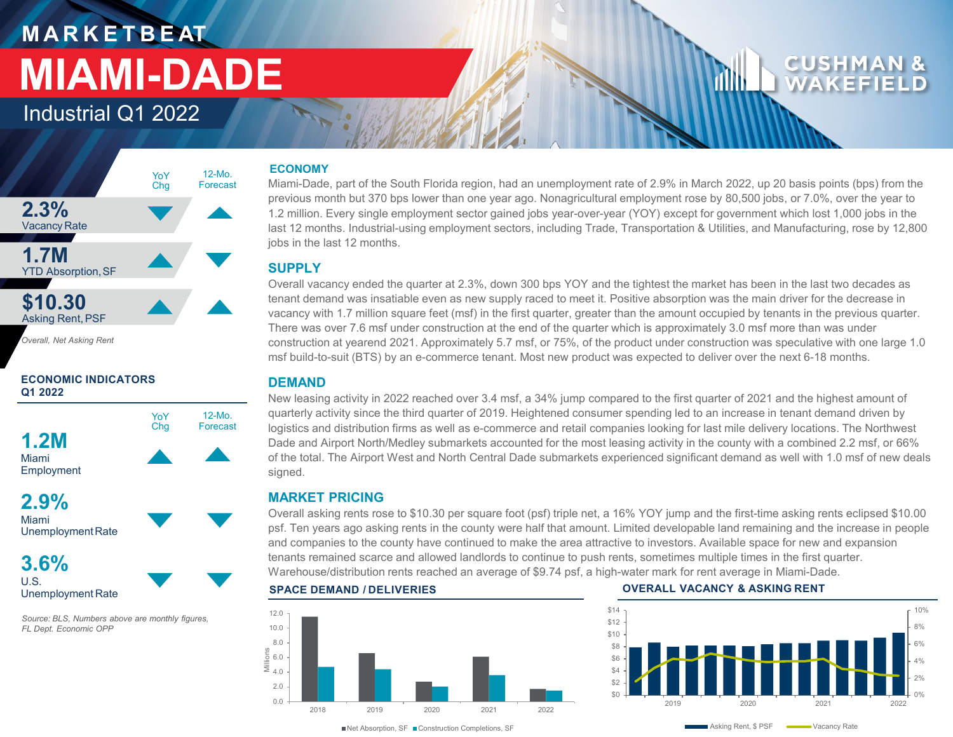# **M A R K E T B E AT MIAMI-DADE**

Industrial Q1 2022



*Overall, Net Asking Rent*

### **ECONOMIC INDICATORS Q1 2022**



Miami UnemploymentRate

**3.6%** U.S. Unemployment Rate

*Source: BLS, Numbers above are monthly figures, FL Dept. Economic OPP*

### **ECONOMY**

Miami-Dade, part of the South Florida region, had an unemployment rate of 2.9% in March 2022, up 20 basis points (bps) from the previous month but 370 bps lower than one year ago. Nonagricultural employment rose by 80,500 jobs, or 7.0%, over the year to 1.2 million. Every single employment sector gained jobs year-over-year (YOY) except for government which lost 1,000 jobs in the last 12 months. Industrial-using employment sectors, including Trade, Transportation & Utilities, and Manufacturing, rose by 12,800 jobs in the last 12 months.

### **SUPPLY**

Overall vacancy ended the quarter at 2.3%, down 300 bps YOY and the tightest the market has been in the last two decades as tenant demand was insatiable even as new supply raced to meet it. Positive absorption was the main driver for the decrease in vacancy with 1.7 million square feet (msf) in the first quarter, greater than the amount occupied by tenants in the previous quarter. There was over 7.6 msf under construction at the end of the quarter which is approximately 3.0 msf more than was under construction at yearend 2021. Approximately 5.7 msf, or 75%, of the product under construction was speculative with one large 1.0 msf build-to-suit (BTS) by an e-commerce tenant. Most new product was expected to deliver over the next 6-18 months.

### **DEMAND**

New leasing activity in 2022 reached over 3.4 msf, a 34% jump compared to the first quarter of 2021 and the highest amount of quarterly activity since the third quarter of 2019. Heightened consumer spending led to an increase in tenant demand driven by logistics and distribution firms as well as e-commerce and retail companies looking for last mile delivery locations. The Northwest Dade and Airport North/Medley submarkets accounted for the most leasing activity in the county with a combined 2.2 msf, or 66% of the total. The Airport West and North Central Dade submarkets experienced significant demand as well with 1.0 msf of new deals signed.

### **MARKET PRICING**

Overall asking rents rose to \$10.30 per square foot (psf) triple net, a 16% YOY jump and the first-time asking rents eclipsed \$10.00 psf. Ten years ago asking rents in the county were half that amount. Limited developable land remaining and the increase in people and companies to the county have continued to make the area attractive to investors. Available space for new and expansion tenants remained scarce and allowed landlords to continue to push rents, sometimes multiple times in the first quarter. Warehouse/distribution rents reached an average of \$9.74 psf, a high-water mark for rent average in Miami-Dade.



### **SPACE DEMAND / DELIVERIES OVERALL VACANCY & ASKING RENT**



■Net Absorption, SF ■ Construction Completions, SF

Asking Rent, \$ PSF Wacancy Rate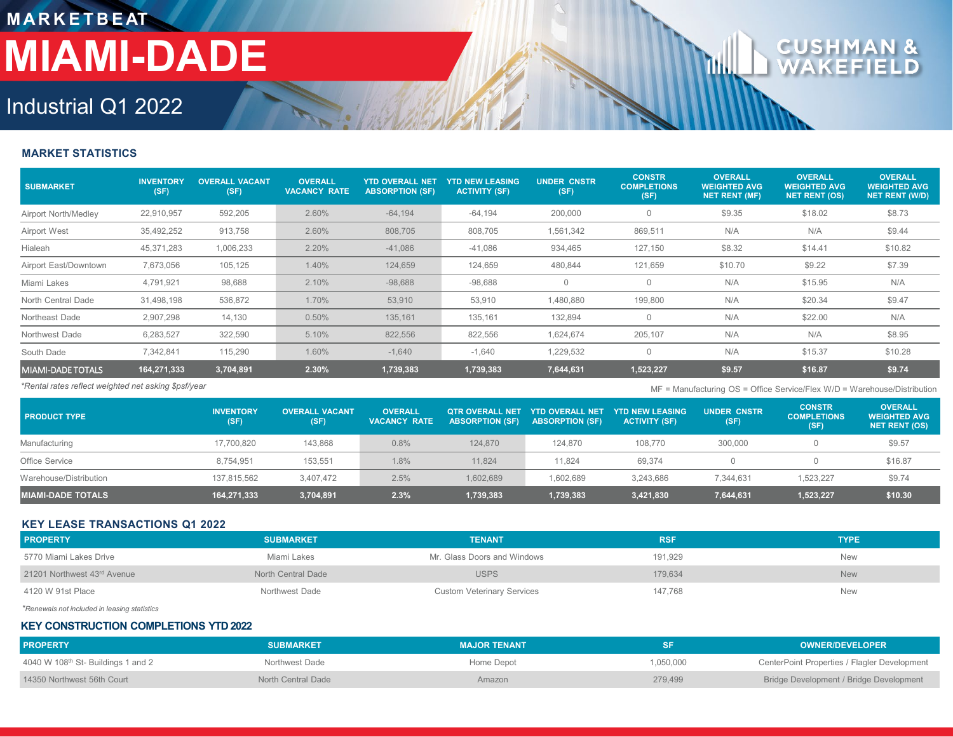## **M A R K E T B E AT MIAMI-DADE**

### CUSHMAN  $\mathbf{8}$

## Industrial Q1 2022

### **MARKET STATISTICS**

| <b>SUBMARKET</b>      | <b>INVENTORY</b><br>(SF) | <b>OVERALL VACANT</b><br>(SF) | <b>OVERALL</b><br><b>VACANCY RATE</b> | <b>YTD OVERALL NET</b><br><b>ABSORPTION (SF)</b> | <b>YTD NEW LEASING</b><br><b>ACTIVITY (SF)</b> | <b>UNDER CNSTR</b><br>(SF) | <b>CONSTR</b><br><b>COMPLETIONS</b><br>(SF) | <b>OVERALL</b><br><b>WEIGHTED AVG</b><br><b>NET RENT (MF)</b> | <b>OVERALL</b><br><b>WEIGHTED AVG</b><br><b>NET RENT (OS)</b> | <b>OVERALL</b><br><b>WEIGHTED AVG</b><br><b>NET RENT (W/D)</b> |
|-----------------------|--------------------------|-------------------------------|---------------------------------------|--------------------------------------------------|------------------------------------------------|----------------------------|---------------------------------------------|---------------------------------------------------------------|---------------------------------------------------------------|----------------------------------------------------------------|
| Airport North/Medley  | 22,910,957               | 592,205                       | 2.60%                                 | $-64,194$                                        | $-64,194$                                      | 200,000                    | 0                                           | \$9.35                                                        | \$18.02                                                       | \$8.73                                                         |
| Airport West          | 35,492,252               | 913,758                       | 2.60%                                 | 808,705                                          | 808,705                                        | 1,561,342                  | 869,511                                     | N/A                                                           | N/A                                                           | \$9.44                                                         |
| Hialeah               | 45,371,283               | 1,006,233                     | 2.20%                                 | $-41,086$                                        | $-41,086$                                      | 934,465                    | 127,150                                     | \$8.32                                                        | \$14.41                                                       | \$10.82                                                        |
| Airport East/Downtown | 7,673,056                | 105,125                       | 1.40%                                 | 124,659                                          | 124,659                                        | 480,844                    | 121,659                                     | \$10.70                                                       | \$9.22                                                        | \$7.39                                                         |
| Miami Lakes           | 4,791,921                | 98,688                        | 2.10%                                 | $-98,688$                                        | $-98,688$                                      | $\mathbf{0}$               |                                             | N/A                                                           | \$15.95                                                       | N/A                                                            |
| North Central Dade    | 31,498,198               | 536,872                       | 1.70%                                 | 53,910                                           | 53,910                                         | 1,480,880                  | 199,800                                     | N/A                                                           | \$20.34                                                       | \$9.47                                                         |
| Northeast Dade        | 2,907,298                | 14,130                        | 0.50%                                 | 135,161                                          | 135,161                                        | 132,894                    |                                             | N/A                                                           | \$22.00                                                       | N/A                                                            |
| Northwest Dade        | 6,283,527                | 322,590                       | 5.10%                                 | 822,556                                          | 822,556                                        | 1,624,674                  | 205,107                                     | N/A                                                           | N/A                                                           | \$8.95                                                         |
| South Dade            | 7,342,841                | 115,290                       | 1.60%                                 | $-1,640$                                         | $-1,640$                                       | 1,229,532                  | $\Omega$                                    | N/A                                                           | \$15.37                                                       | \$10.28                                                        |
| MIAMI-DADE TOTALS     | 164,271,333              | 3,704,891                     | 2.30%                                 | 1,739,383                                        | 1,739,383                                      | 7,644,631                  | 1,523,227                                   | \$9.57                                                        | \$16.87                                                       | \$9.74                                                         |

*\*Rental rates reflect weighted net asking \$psf/year* MF = Manufacturing OS = Office Service/Flex W/D = Warehouse/Distribution

| <b>PRODUCT TYPE</b>      | <b>INVENTORY</b><br>(SF) | <b>OVERALL VACANT</b><br>(SF) | <b>OVERALL</b><br><b>VACANCY RATE</b> |           | OTR OVERALL NET YTD OVERALL NET<br><b>ABSORPTION (SF) ABSORPTION (SF)</b> | <b>YTD NEW LEASING</b><br><b>ACTIVITY (SF)</b> | <b>UNDER CNSTR</b><br>(SF) | <b>CONSTR</b><br><b>COMPLETIONS</b><br>(SF) | <b>OVERALL</b><br><b>WEIGHTED AVG</b><br><b>NET RENT (OS)</b> |
|--------------------------|--------------------------|-------------------------------|---------------------------------------|-----------|---------------------------------------------------------------------------|------------------------------------------------|----------------------------|---------------------------------------------|---------------------------------------------------------------|
| Manufacturing            | 17,700,820               | 143,868                       | 0.8%                                  | 124.870   | 124,870                                                                   | 108,770                                        | 300,000                    |                                             | \$9.57                                                        |
| Office Service           | 8.754.951                | 153,551                       | 1.8%                                  | 11.824    | 11.824                                                                    | 69.374                                         |                            |                                             | \$16.87                                                       |
| Warehouse/Distribution   | 137,815,562              | 3,407,472                     | 2.5%                                  | 1,602,689 | 1,602,689                                                                 | 3,243,686                                      | 7.344.631                  | 1.523.227                                   | \$9.74                                                        |
| <b>MIAMI-DADE TOTALS</b> | 164,271,333              | 3,704,891                     | 2.3%                                  | 1,739,383 | 1,739,383                                                                 | 3,421,830                                      | 7,644,631                  | 1,523,227                                   | \$10.30                                                       |

### **KEY LEASE TRANSACTIONS Q1 2022**

| <b>PROPERTY</b>             | <b>SUBMARKET</b>   | <b>TENANT</b>                     | <b>RSF</b> | <b>TYPE</b> |
|-----------------------------|--------------------|-----------------------------------|------------|-------------|
| 5770 Miami Lakes Drive      | Miami Lakes        | Mr. Glass Doors and Windows       | 191.929    | <b>New</b>  |
| 21201 Northwest 43rd Avenue | North Central Dade | <b>USPS</b>                       | 179.634    | <b>New</b>  |
| 4120 W 91st Place           | Northwest Dade     | <b>Custom Veterinary Services</b> | 147,768    | <b>New</b>  |

*\*Renewals not included in leasing statistics*

### **KEY CONSTRUCTION COMPLETIONS YTD 2022**

| <b>PROPERTY</b>                   | <b>SUBMARKET</b>   | <b>MAJOR TENANT</b> |           | <b>OWNER/DEVELOPER</b>                       |
|-----------------------------------|--------------------|---------------------|-----------|----------------------------------------------|
| 4040 W 108th St-Buildings 1 and 2 | Northwest Dade     | Home Depot          | 1,050,000 | CenterPoint Properties / Flagler Development |
| 14350 Northwest 56th Court        | North Central Dade | Amazon              | 279.499   | Bridge Development / Bridge Development      |